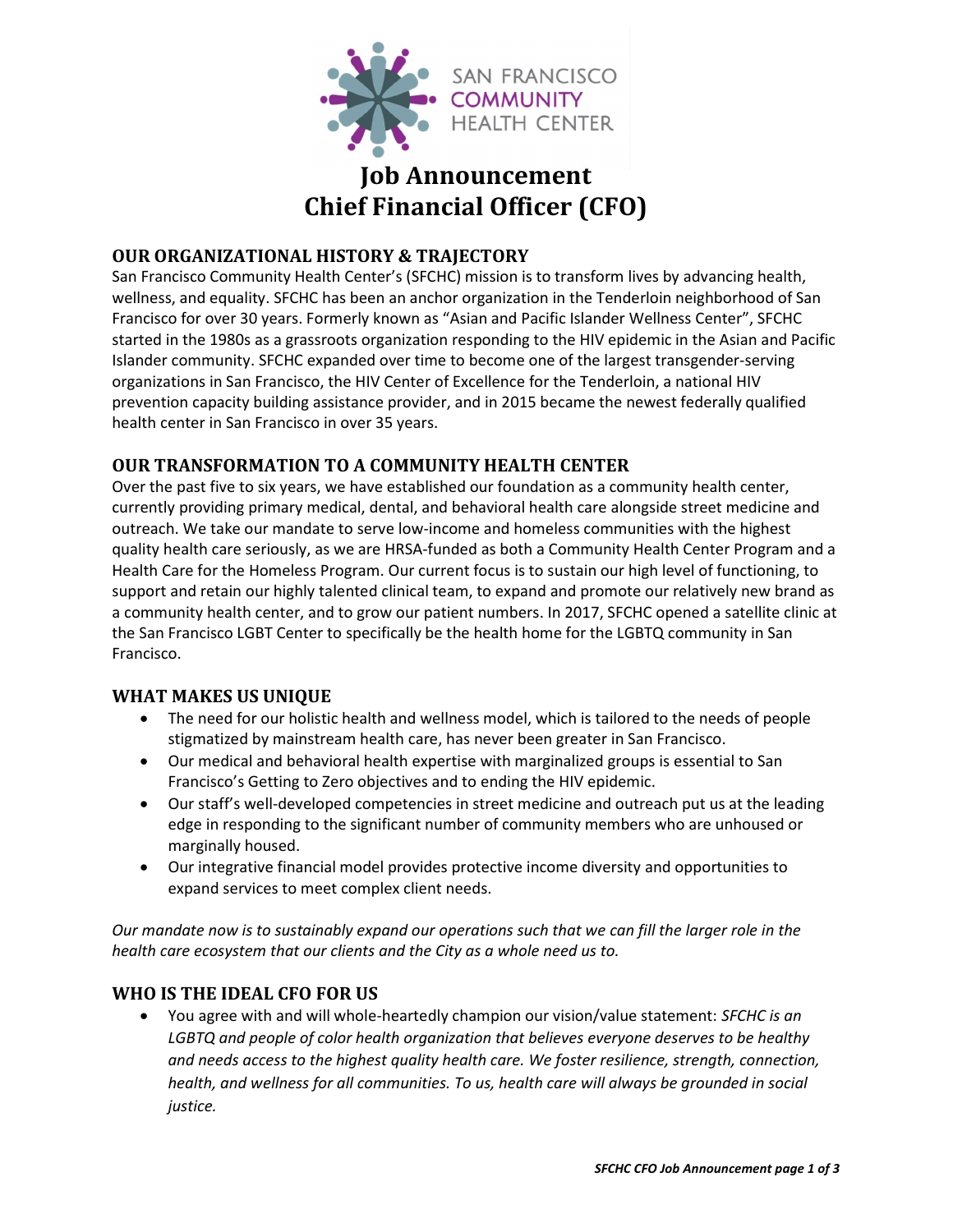

# Job Announcement Chief Financial Officer (CFO)

## OUR ORGANIZATIONAL HISTORY & TRAJECTORY

San Francisco Community Health Center's (SFCHC) mission is to transform lives by advancing health, wellness, and equality. SFCHC has been an anchor organization in the Tenderloin neighborhood of San Francisco for over 30 years. Formerly known as "Asian and Pacific Islander Wellness Center", SFCHC started in the 1980s as a grassroots organization responding to the HIV epidemic in the Asian and Pacific Islander community. SFCHC expanded over time to become one of the largest transgender‐serving organizations in San Francisco, the HIV Center of Excellence for the Tenderloin, a national HIV prevention capacity building assistance provider, and in 2015 became the newest federally qualified health center in San Francisco in over 35 years.

## OUR TRANSFORMATION TO A COMMUNITY HEALTH CENTER

Over the past five to six years, we have established our foundation as a community health center, currently providing primary medical, dental, and behavioral health care alongside street medicine and outreach. We take our mandate to serve low‐income and homeless communities with the highest quality health care seriously, as we are HRSA‐funded as both a Community Health Center Program and a Health Care for the Homeless Program. Our current focus is to sustain our high level of functioning, to support and retain our highly talented clinical team, to expand and promote our relatively new brand as a community health center, and to grow our patient numbers. In 2017, SFCHC opened a satellite clinic at the San Francisco LGBT Center to specifically be the health home for the LGBTQ community in San Francisco.

## WHAT MAKES US UNIQUE

- The need for our holistic health and wellness model, which is tailored to the needs of people stigmatized by mainstream health care, has never been greater in San Francisco.
- Our medical and behavioral health expertise with marginalized groups is essential to San Francisco's Getting to Zero objectives and to ending the HIV epidemic.
- Our staff's well-developed competencies in street medicine and outreach put us at the leading edge in responding to the significant number of community members who are unhoused or marginally housed.
- Our integrative financial model provides protective income diversity and opportunities to expand services to meet complex client needs.

Our mandate now is to sustainably expand our operations such that we can fill the larger role in the health care ecosystem that our clients and the City as a whole need us to.

## WHO IS THE IDEAL CFO FOR US

You agree with and will whole-heartedly champion our vision/value statement: SFCHC is an LGBTQ and people of color health organization that believes everyone deserves to be healthy and needs access to the highest quality health care. We foster resilience, strength, connection, health, and wellness for all communities. To us, health care will always be grounded in social justice.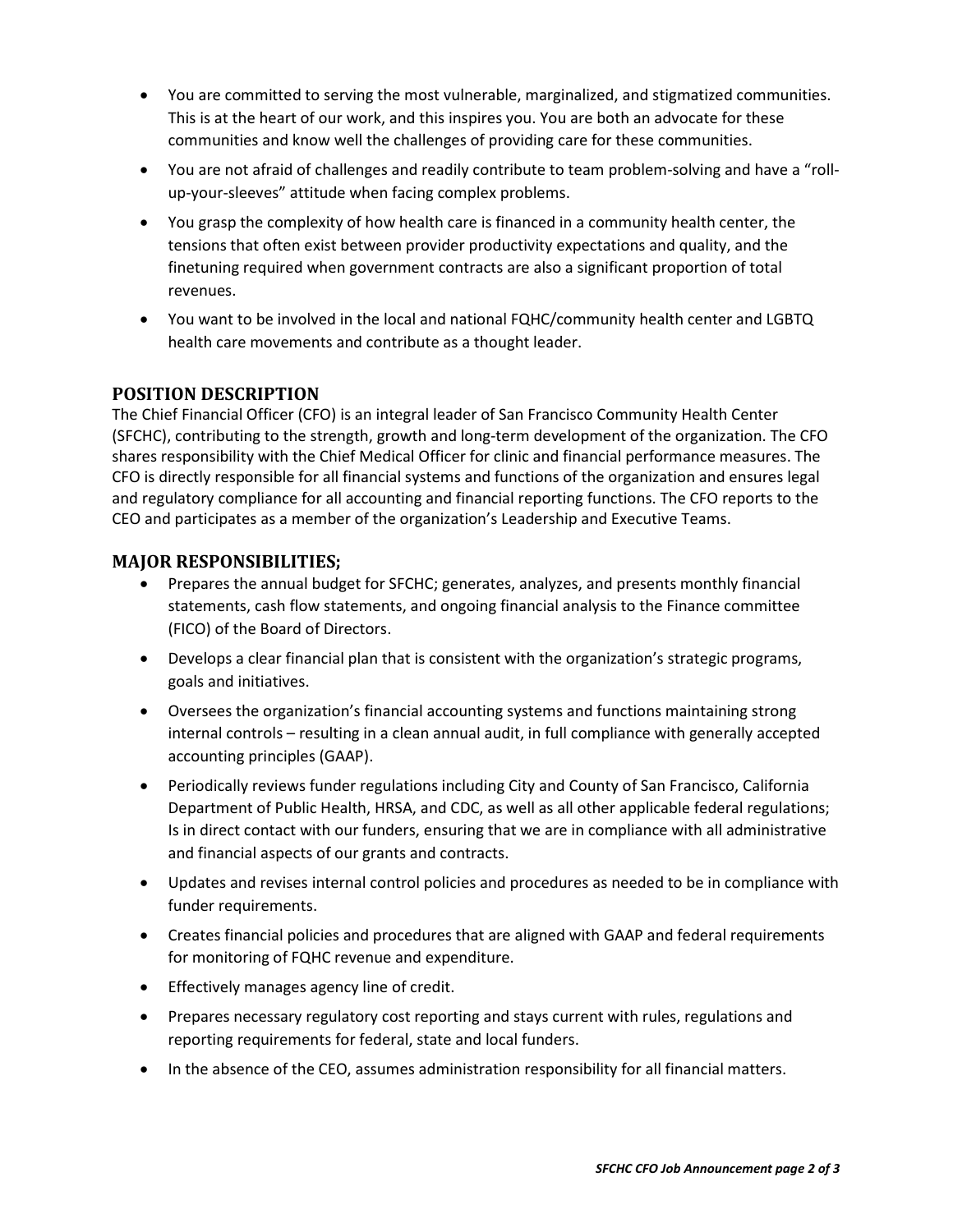- You are committed to serving the most vulnerable, marginalized, and stigmatized communities. This is at the heart of our work, and this inspires you. You are both an advocate for these communities and know well the challenges of providing care for these communities.
- You are not afraid of challenges and readily contribute to team problem-solving and have a "rollup‐your‐sleeves" attitude when facing complex problems.
- You grasp the complexity of how health care is financed in a community health center, the tensions that often exist between provider productivity expectations and quality, and the finetuning required when government contracts are also a significant proportion of total revenues.
- You want to be involved in the local and national FQHC/community health center and LGBTQ health care movements and contribute as a thought leader.

## POSITION DESCRIPTION

The Chief Financial Officer (CFO) is an integral leader of San Francisco Community Health Center (SFCHC), contributing to the strength, growth and long‐term development of the organization. The CFO shares responsibility with the Chief Medical Officer for clinic and financial performance measures. The CFO is directly responsible for all financial systems and functions of the organization and ensures legal and regulatory compliance for all accounting and financial reporting functions. The CFO reports to the CEO and participates as a member of the organization's Leadership and Executive Teams.

#### MAJOR RESPONSIBILITIES;

- Prepares the annual budget for SFCHC; generates, analyzes, and presents monthly financial statements, cash flow statements, and ongoing financial analysis to the Finance committee (FICO) of the Board of Directors.
- Develops a clear financial plan that is consistent with the organization's strategic programs, goals and initiatives.
- Oversees the organization's financial accounting systems and functions maintaining strong internal controls – resulting in a clean annual audit, in full compliance with generally accepted accounting principles (GAAP).
- Periodically reviews funder regulations including City and County of San Francisco, California Department of Public Health, HRSA, and CDC, as well as all other applicable federal regulations; Is in direct contact with our funders, ensuring that we are in compliance with all administrative and financial aspects of our grants and contracts.
- Updates and revises internal control policies and procedures as needed to be in compliance with funder requirements.
- Creates financial policies and procedures that are aligned with GAAP and federal requirements for monitoring of FQHC revenue and expenditure.
- **•** Effectively manages agency line of credit.
- Prepares necessary regulatory cost reporting and stays current with rules, regulations and reporting requirements for federal, state and local funders.
- In the absence of the CEO, assumes administration responsibility for all financial matters.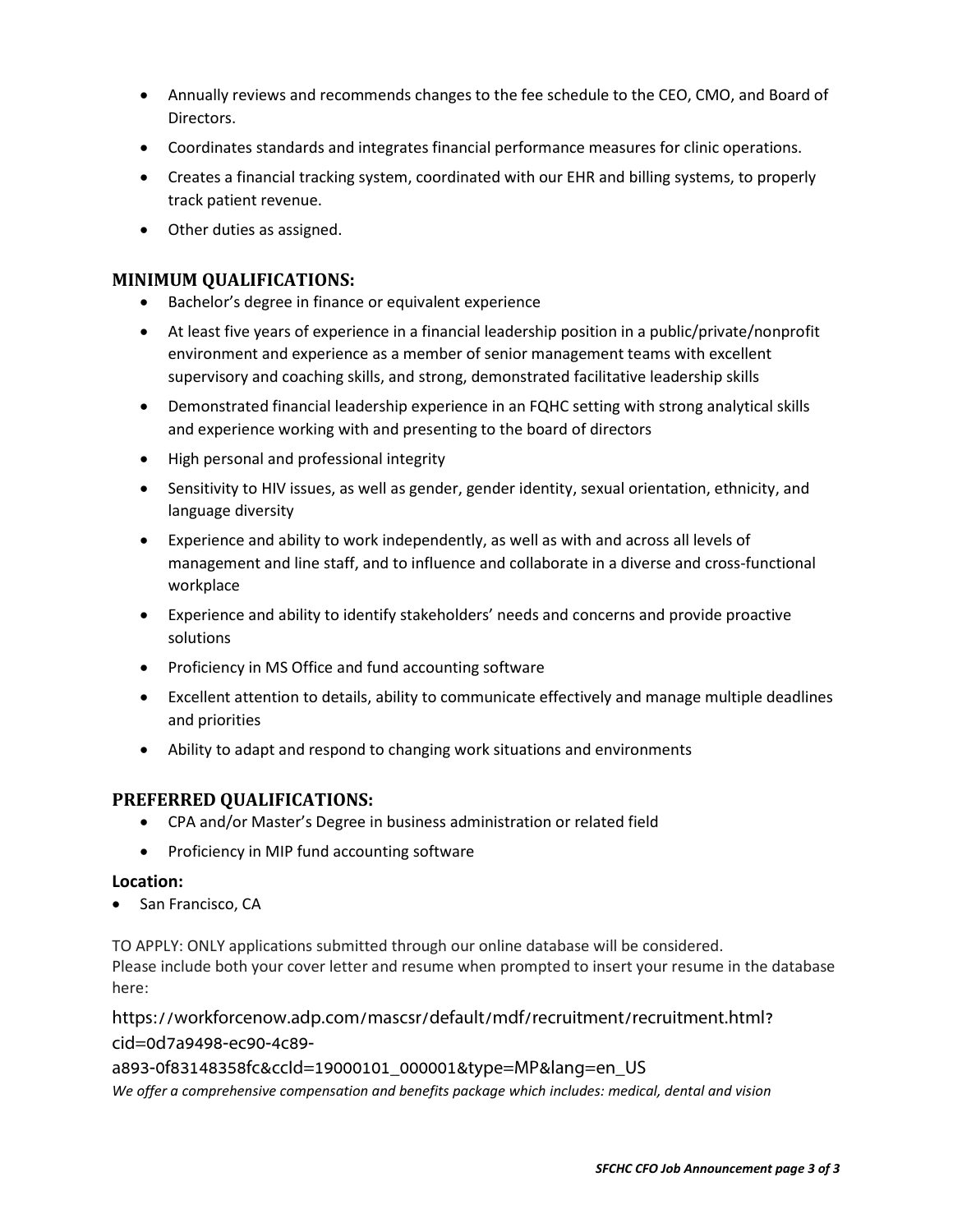- Annually reviews and recommends changes to the fee schedule to the CEO, CMO, and Board of Directors.
- Coordinates standards and integrates financial performance measures for clinic operations.
- Creates a financial tracking system, coordinated with our EHR and billing systems, to properly track patient revenue.
- Other duties as assigned.

### MINIMUM QUALIFICATIONS:

- Bachelor's degree in finance or equivalent experience
- At least five years of experience in a financial leadership position in a public/private/nonprofit environment and experience as a member of senior management teams with excellent supervisory and coaching skills, and strong, demonstrated facilitative leadership skills
- Demonstrated financial leadership experience in an FQHC setting with strong analytical skills and experience working with and presenting to the board of directors
- High personal and professional integrity
- Sensitivity to HIV issues, as well as gender, gender identity, sexual orientation, ethnicity, and language diversity
- Experience and ability to work independently, as well as with and across all levels of management and line staff, and to influence and collaborate in a diverse and cross‐functional workplace
- Experience and ability to identify stakeholders' needs and concerns and provide proactive solutions
- Proficiency in MS Office and fund accounting software
- Excellent attention to details, ability to communicate effectively and manage multiple deadlines and priorities
- Ability to adapt and respond to changing work situations and environments

## PREFERRED QUALIFICATIONS:

- CPA and/or Master's Degree in business administration or related field
- Proficiency in MIP fund accounting software

#### Location:

• San Francisco, CA

TO APPLY: ONLY applications submitted through our online database will be considered. Please include both your cover letter and resume when prompted to insert your resume in the database here:

[https://workforcenow.adp.com/mascsr/default/mdf/recruitment/recruitment.html?](https://workforcenow.adp.com/mascsr/default/mdf/recruitment/recruitment.html?cid=0d7a9498-ec90-4c89-a893-0f83148358fc&ccId=19000101_000001&type=MP&lang=en_US) cid=0d7a9498-ec90-4c89-

## a893-0f83148358fc&ccId=19000101\_000001&type=MP&lang=en\_US

We offer a comprehensive compensation and benefits package which includes: medical, dental and vision